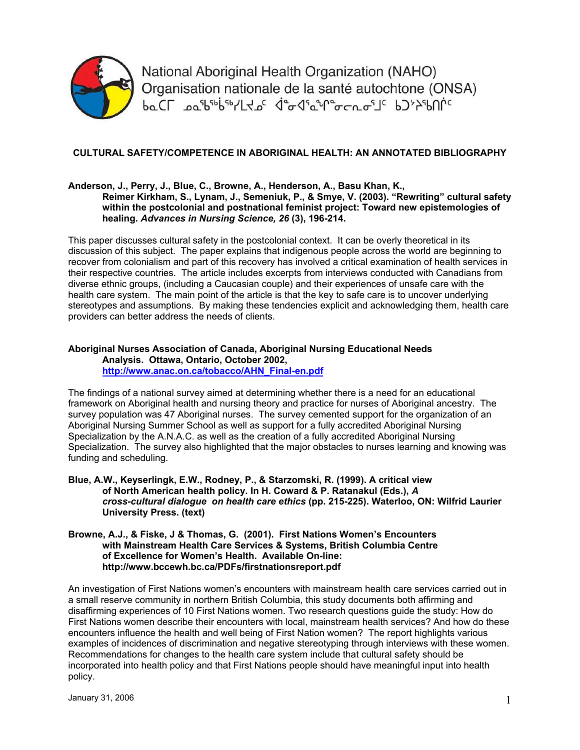

National Aboriginal Health Organization (NAHO) Organisation nationale de la santé autochtone (ONSA) pTCL Docptoples/140c de de de la CLE PJX-PULLE

## **CULTURAL SAFETY/COMPETENCE IN ABORIGINAL HEALTH: AN ANNOTATED BIBLIOGRAPHY**

## **Anderson, J., Perry, J., Blue, C., Browne, A., Henderson, A., Basu Khan, K., Reimer Kirkham, S., Lynam, J., Semeniuk, P., & Smye, V. (2003). "Rewriting" cultural safety within the postcolonial and postnational feminist project: Toward new epistemologies of healing.** *Advances in Nursing Science, 26* **(3), 196-214.**

This paper discusses cultural safety in the postcolonial context. It can be overly theoretical in its discussion of this subject. The paper explains that indigenous people across the world are beginning to recover from colonialism and part of this recovery has involved a critical examination of health services in their respective countries. The article includes excerpts from interviews conducted with Canadians from diverse ethnic groups, (including a Caucasian couple) and their experiences of unsafe care with the health care system. The main point of the article is that the key to safe care is to uncover underlying stereotypes and assumptions. By making these tendencies explicit and acknowledging them, health care providers can better address the needs of clients.

## **Aboriginal Nurses Association of Canada, Aboriginal Nursing Educational Needs Analysis. Ottawa, Ontario, October 2002, http://www.anac.on.ca/tobacco/AHN\_Final-en.pdf**

The findings of a national survey aimed at determining whether there is a need for an educational framework on Aboriginal health and nursing theory and practice for nurses of Aboriginal ancestry. The survey population was 47 Aboriginal nurses. The survey cemented support for the organization of an Aboriginal Nursing Summer School as well as support for a fully accredited Aboriginal Nursing Specialization by the A.N.A.C. as well as the creation of a fully accredited Aboriginal Nursing Specialization. The survey also highlighted that the major obstacles to nurses learning and knowing was funding and scheduling.

**Blue, A.W., Keyserlingk, E.W., Rodney, P., & Starzomski, R. (1999). A critical view of North American health policy. In H. Coward & P. Ratanakul (Eds.),** *A cross-cultural dialogue on health care ethics* **(pp. 215-225). Waterloo, ON: Wilfrid Laurier University Press. (text)** 

## **Browne, A.J., & Fiske, J & Thomas, G. (2001). First Nations Women's Encounters with Mainstream Health Care Services & Systems, British Columbia Centre of Excellence for Women's Health. Available On-line: http://www.bccewh.bc.ca/PDFs/firstnationsreport.pdf**

An investigation of First Nations women's encounters with mainstream health care services carried out in a small reserve community in northern British Columbia, this study documents both affirming and disaffirming experiences of 10 First Nations women. Two research questions guide the study: How do First Nations women describe their encounters with local, mainstream health services? And how do these encounters influence the health and well being of First Nation women? The report highlights various examples of incidences of discrimination and negative stereotyping through interviews with these women. Recommendations for changes to the health care system include that cultural safety should be incorporated into health policy and that First Nations people should have meaningful input into health policy.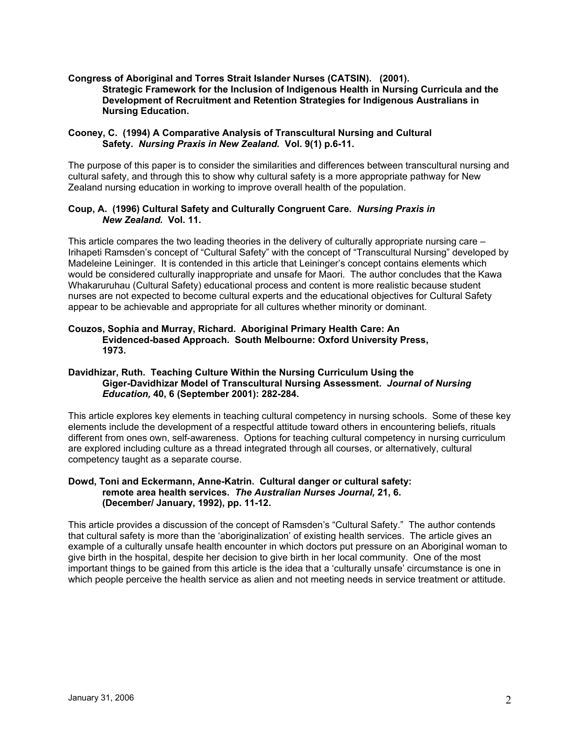## **Congress of Aboriginal and Torres Strait Islander Nurses (CATSIN). (2001). Strategic Framework for the Inclusion of Indigenous Health in Nursing Curricula and the Development of Recruitment and Retention Strategies for Indigenous Australians in Nursing Education.**

## **Cooney, C. (1994) A Comparative Analysis of Transcultural Nursing and Cultural Safety.** *Nursing Praxis in New Zealand.* **Vol. 9(1) p.6-11.**

The purpose of this paper is to consider the similarities and differences between transcultural nursing and cultural safety, and through this to show why cultural safety is a more appropriate pathway for New Zealand nursing education in working to improve overall health of the population.

## **Coup, A. (1996) Cultural Safety and Culturally Congruent Care.** *Nursing Praxis in New Zealand.* **Vol. 11.**

This article compares the two leading theories in the delivery of culturally appropriate nursing care – Irihapeti Ramsden's concept of "Cultural Safety" with the concept of "Transcultural Nursing" developed by Madeleine Leininger. It is contended in this article that Leininger's concept contains elements which would be considered culturally inappropriate and unsafe for Maori. The author concludes that the Kawa Whakaruruhau (Cultural Safety) educational process and content is more realistic because student nurses are not expected to become cultural experts and the educational objectives for Cultural Safety appear to be achievable and appropriate for all cultures whether minority or dominant.

#### **Couzos, Sophia and Murray, Richard. Aboriginal Primary Health Care: An Evidenced-based Approach. South Melbourne: Oxford University Press, 1973.**

## **Davidhizar, Ruth. Teaching Culture Within the Nursing Curriculum Using the Giger-Davidhizar Model of Transcultural Nursing Assessment.** *Journal of Nursing Education,* **40, 6 (September 2001): 282-284.**

This article explores key elements in teaching cultural competency in nursing schools. Some of these key elements include the development of a respectful attitude toward others in encountering beliefs, rituals different from ones own, self-awareness. Options for teaching cultural competency in nursing curriculum are explored including culture as a thread integrated through all courses, or alternatively, cultural competency taught as a separate course.

## **Dowd, Toni and Eckermann, Anne-Katrin. Cultural danger or cultural safety: remote area health services.** *The Australian Nurses Journal,* **21, 6. (December/ January, 1992), pp. 11-12.**

This article provides a discussion of the concept of Ramsden's "Cultural Safety." The author contends that cultural safety is more than the 'aboriginalization' of existing health services. The article gives an example of a culturally unsafe health encounter in which doctors put pressure on an Aboriginal woman to give birth in the hospital, despite her decision to give birth in her local community. One of the most important things to be gained from this article is the idea that a 'culturally unsafe' circumstance is one in which people perceive the health service as alien and not meeting needs in service treatment or attitude.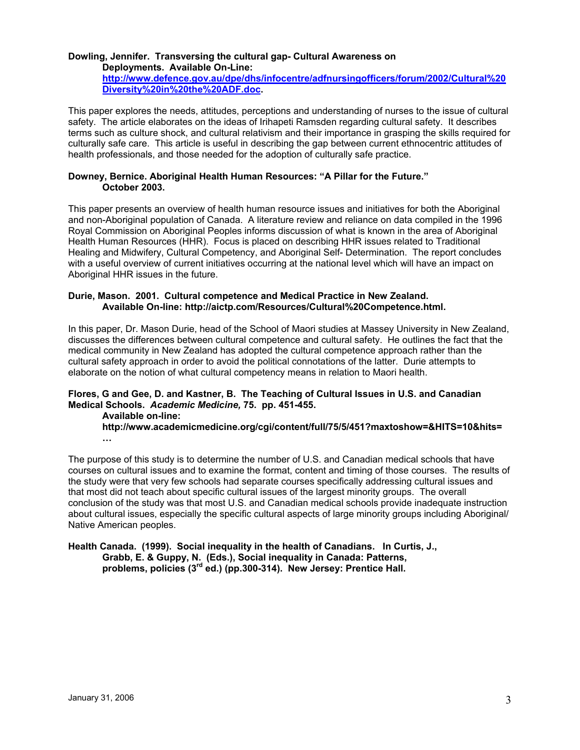# **Dowling, Jennifer. Transversing the cultural gap- Cultural Awareness on**

**Deployments. Available On-Line: http://www.defence.gov.au/dpe/dhs/infocentre/adfnursingofficers/forum/2002/Cultural%20 Diversity%20in%20the%20ADF.doc.** 

This paper explores the needs, attitudes, perceptions and understanding of nurses to the issue of cultural safety. The article elaborates on the ideas of Irihapeti Ramsden regarding cultural safety. It describes terms such as culture shock, and cultural relativism and their importance in grasping the skills required for culturally safe care. This article is useful in describing the gap between current ethnocentric attitudes of health professionals, and those needed for the adoption of culturally safe practice.

## **Downey, Bernice. Aboriginal Health Human Resources: "A Pillar for the Future." October 2003.**

This paper presents an overview of health human resource issues and initiatives for both the Aboriginal and non-Aboriginal population of Canada. A literature review and reliance on data compiled in the 1996 Royal Commission on Aboriginal Peoples informs discussion of what is known in the area of Aboriginal Health Human Resources (HHR). Focus is placed on describing HHR issues related to Traditional Healing and Midwifery, Cultural Competency, and Aboriginal Self- Determination. The report concludes with a useful overview of current initiatives occurring at the national level which will have an impact on Aboriginal HHR issues in the future.

## **Durie, Mason. 2001. Cultural competence and Medical Practice in New Zealand. Available On-line: http://aictp.com/Resources/Cultural%20Competence.html.**

In this paper, Dr. Mason Durie, head of the School of Maori studies at Massey University in New Zealand, discusses the differences between cultural competence and cultural safety. He outlines the fact that the medical community in New Zealand has adopted the cultural competence approach rather than the cultural safety approach in order to avoid the political connotations of the latter. Durie attempts to elaborate on the notion of what cultural competency means in relation to Maori health.

## **Flores, G and Gee, D. and Kastner, B. The Teaching of Cultural Issues in U.S. and Canadian Medical Schools.** *Academic Medicine,* **75. pp. 451-455.**

**Available on-line:** 

**http://www.academicmedicine.org/cgi/content/full/75/5/451?maxtoshow=&HITS=10&hits= …** 

The purpose of this study is to determine the number of U.S. and Canadian medical schools that have courses on cultural issues and to examine the format, content and timing of those courses. The results of the study were that very few schools had separate courses specifically addressing cultural issues and that most did not teach about specific cultural issues of the largest minority groups. The overall conclusion of the study was that most U.S. and Canadian medical schools provide inadequate instruction about cultural issues, especially the specific cultural aspects of large minority groups including Aboriginal/ Native American peoples.

## **Health Canada. (1999). Social inequality in the health of Canadians. In Curtis, J., Grabb, E. & Guppy, N. (Eds.), Social inequality in Canada: Patterns, problems, policies (3rd ed.) (pp.300-314). New Jersey: Prentice Hall.**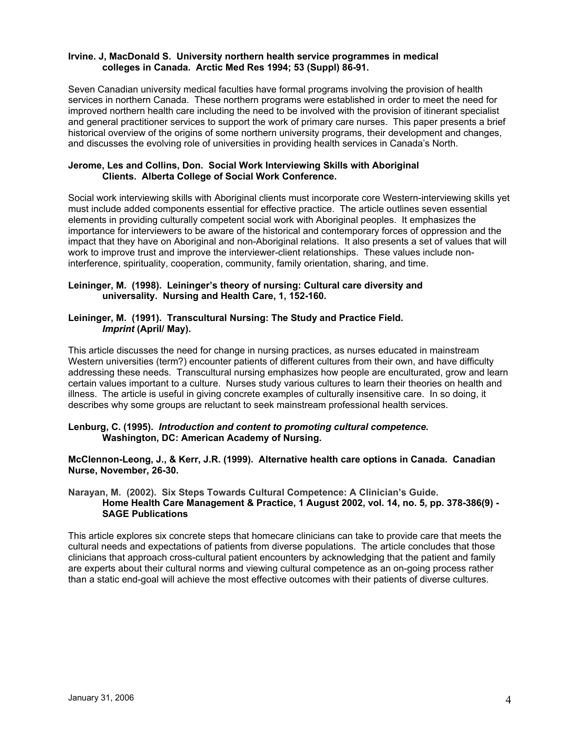## **Irvine. J, MacDonald S. University northern health service programmes in medical colleges in Canada. Arctic Med Res 1994; 53 (Suppl) 86-91.**

Seven Canadian university medical faculties have formal programs involving the provision of health services in northern Canada. These northern programs were established in order to meet the need for improved northern health care including the need to be involved with the provision of itinerant specialist and general practitioner services to support the work of primary care nurses. This paper presents a brief historical overview of the origins of some northern university programs, their development and changes, and discusses the evolving role of universities in providing health services in Canada's North.

## **Jerome, Les and Collins, Don. Social Work Interviewing Skills with Aboriginal Clients. Alberta College of Social Work Conference.**

Social work interviewing skills with Aboriginal clients must incorporate core Western-interviewing skills yet must include added components essential for effective practice. The article outlines seven essential elements in providing culturally competent social work with Aboriginal peoples. It emphasizes the importance for interviewers to be aware of the historical and contemporary forces of oppression and the impact that they have on Aboriginal and non-Aboriginal relations. It also presents a set of values that will work to improve trust and improve the interviewer-client relationships. These values include noninterference, spirituality, cooperation, community, family orientation, sharing, and time.

## **Leininger, M. (1998). Leininger's theory of nursing: Cultural care diversity and universality. Nursing and Health Care, 1, 152-160.**

## **Leininger, M. (1991). Transcultural Nursing: The Study and Practice Field.** *Imprint* **(April/ May).**

This article discusses the need for change in nursing practices, as nurses educated in mainstream Western universities (term?) encounter patients of different cultures from their own, and have difficulty addressing these needs. Transcultural nursing emphasizes how people are enculturated, grow and learn certain values important to a culture. Nurses study various cultures to learn their theories on health and illness. The article is useful in giving concrete examples of culturally insensitive care. In so doing, it describes why some groups are reluctant to seek mainstream professional health services.

## **Lenburg, C. (1995).** *Introduction and content to promoting cultural competence.*  **Washington, DC: American Academy of Nursing.**

**McClennon-Leong, J., & Kerr, J.R. (1999). Alternative health care options in Canada. Canadian Nurse, November, 26-30.** 

#### **Narayan, M. (2002). Six Steps Towards Cultural Competence: A Clinician's Guide. Home Health Care Management & Practice, 1 August 2002, vol. 14, no. 5, pp. 378-386(9) - SAGE Publications**

This article explores six concrete steps that homecare clinicians can take to provide care that meets the cultural needs and expectations of patients from diverse populations. The article concludes that those clinicians that approach cross-cultural patient encounters by acknowledging that the patient and family are experts about their cultural norms and viewing cultural competence as an on-going process rather than a static end-goal will achieve the most effective outcomes with their patients of diverse cultures.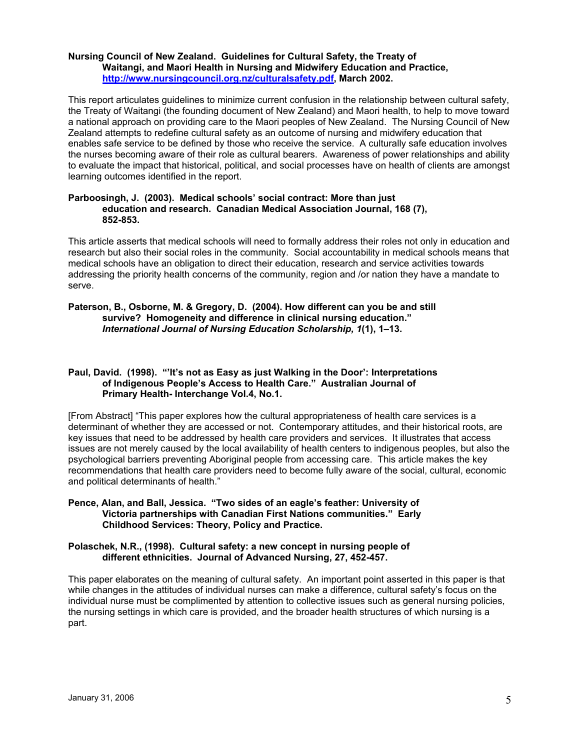## **Nursing Council of New Zealand. Guidelines for Cultural Safety, the Treaty of Waitangi, and Maori Health in Nursing and Midwifery Education and Practice, http://www.nursingcouncil.org.nz/culturalsafety.pdf, March 2002.**

This report articulates guidelines to minimize current confusion in the relationship between cultural safety, the Treaty of Waitangi (the founding document of New Zealand) and Maori health, to help to move toward a national approach on providing care to the Maori peoples of New Zealand. The Nursing Council of New Zealand attempts to redefine cultural safety as an outcome of nursing and midwifery education that enables safe service to be defined by those who receive the service. A culturally safe education involves the nurses becoming aware of their role as cultural bearers. Awareness of power relationships and ability to evaluate the impact that historical, political, and social processes have on health of clients are amongst learning outcomes identified in the report.

### **Parboosingh, J. (2003). Medical schools' social contract: More than just education and research. Canadian Medical Association Journal, 168 (7), 852-853.**

This article asserts that medical schools will need to formally address their roles not only in education and research but also their social roles in the community. Social accountability in medical schools means that medical schools have an obligation to direct their education, research and service activities towards addressing the priority health concerns of the community, region and /or nation they have a mandate to serve.

## **Paterson, B., Osborne, M. & Gregory, D. (2004). How different can you be and still survive? Homogeneity and difference in clinical nursing education."**  *International Journal of Nursing Education Scholarship, 1***(1), 1–13.**

## **Paul, David. (1998). "'It's not as Easy as just Walking in the Door': Interpretations of Indigenous People's Access to Health Care." Australian Journal of Primary Health- Interchange Vol.4, No.1.**

[From Abstract] "This paper explores how the cultural appropriateness of health care services is a determinant of whether they are accessed or not. Contemporary attitudes, and their historical roots, are key issues that need to be addressed by health care providers and services. It illustrates that access issues are not merely caused by the local availability of health centers to indigenous peoples, but also the psychological barriers preventing Aboriginal people from accessing care. This article makes the key recommendations that health care providers need to become fully aware of the social, cultural, economic and political determinants of health."

## **Pence, Alan, and Ball, Jessica. "Two sides of an eagle's feather: University of Victoria partnerships with Canadian First Nations communities." Early Childhood Services: Theory, Policy and Practice.**

## **Polaschek, N.R., (1998). Cultural safety: a new concept in nursing people of different ethnicities. Journal of Advanced Nursing, 27, 452-457.**

This paper elaborates on the meaning of cultural safety. An important point asserted in this paper is that while changes in the attitudes of individual nurses can make a difference, cultural safety's focus on the individual nurse must be complimented by attention to collective issues such as general nursing policies, the nursing settings in which care is provided, and the broader health structures of which nursing is a part.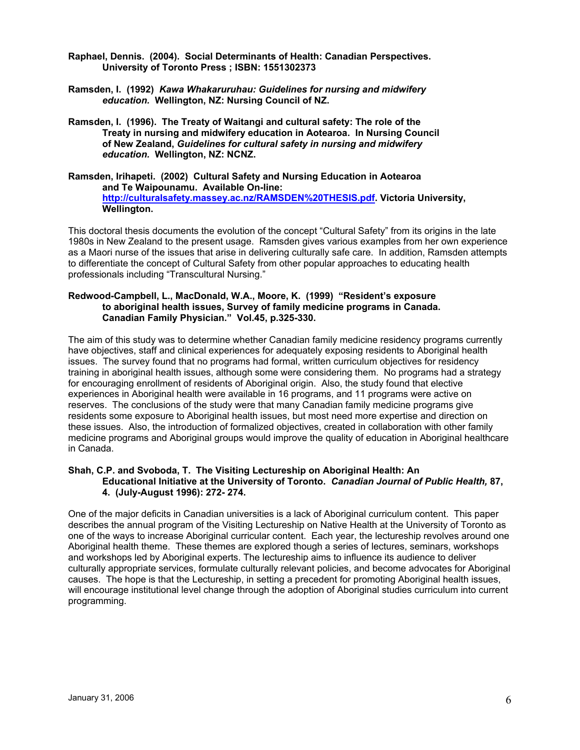- **Raphael, Dennis. (2004). Social Determinants of Health: Canadian Perspectives. University of Toronto Press ; ISBN: 1551302373**
- **Ramsden, I. (1992)** *Kawa Whakaruruhau: Guidelines for nursing and midwifery education.* **Wellington, NZ: Nursing Council of NZ.**
- **Ramsden, I. (1996). The Treaty of Waitangi and cultural safety: The role of the Treaty in nursing and midwifery education in Aotearoa. In Nursing Council of New Zealand,** *Guidelines for cultural safety in nursing and midwifery education.* **Wellington, NZ: NCNZ.**

**Ramsden, Irihapeti. (2002) Cultural Safety and Nursing Education in Aotearoa and Te Waipounamu. Available On-line: http://culturalsafety.massey.ac.nz/RAMSDEN%20THESIS.pdf. Victoria University, Wellington.** 

This doctoral thesis documents the evolution of the concept "Cultural Safety" from its origins in the late 1980s in New Zealand to the present usage. Ramsden gives various examples from her own experience as a Maori nurse of the issues that arise in delivering culturally safe care. In addition, Ramsden attempts to differentiate the concept of Cultural Safety from other popular approaches to educating health professionals including "Transcultural Nursing."

## **Redwood-Campbell, L., MacDonald, W.A., Moore, K. (1999) "Resident's exposure to aboriginal health issues, Survey of family medicine programs in Canada. Canadian Family Physician." Vol.45, p.325-330.**

The aim of this study was to determine whether Canadian family medicine residency programs currently have objectives, staff and clinical experiences for adequately exposing residents to Aboriginal health issues. The survey found that no programs had formal, written curriculum objectives for residency training in aboriginal health issues, although some were considering them. No programs had a strategy for encouraging enrollment of residents of Aboriginal origin. Also, the study found that elective experiences in Aboriginal health were available in 16 programs, and 11 programs were active on reserves. The conclusions of the study were that many Canadian family medicine programs give residents some exposure to Aboriginal health issues, but most need more expertise and direction on these issues. Also, the introduction of formalized objectives, created in collaboration with other family medicine programs and Aboriginal groups would improve the quality of education in Aboriginal healthcare in Canada.

## **Shah, C.P. and Svoboda, T. The Visiting Lectureship on Aboriginal Health: An Educational Initiative at the University of Toronto.** *Canadian Journal of Public Health,* **87, 4. (July-August 1996): 272- 274.**

One of the major deficits in Canadian universities is a lack of Aboriginal curriculum content. This paper describes the annual program of the Visiting Lectureship on Native Health at the University of Toronto as one of the ways to increase Aboriginal curricular content. Each year, the lectureship revolves around one Aboriginal health theme. These themes are explored though a series of lectures, seminars, workshops and workshops led by Aboriginal experts. The lectureship aims to influence its audience to deliver culturally appropriate services, formulate culturally relevant policies, and become advocates for Aboriginal causes. The hope is that the Lectureship, in setting a precedent for promoting Aboriginal health issues, will encourage institutional level change through the adoption of Aboriginal studies curriculum into current programming.